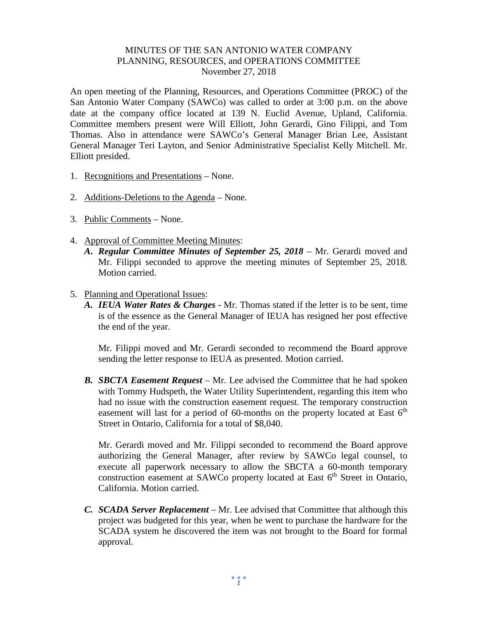## MINUTES OF THE SAN ANTONIO WATER COMPANY PLANNING, RESOURCES, and OPERATIONS COMMITTEE November 27, 2018

An open meeting of the Planning, Resources, and Operations Committee (PROC) of the San Antonio Water Company (SAWCo) was called to order at 3:00 p.m. on the above date at the company office located at 139 N. Euclid Avenue, Upland, California. Committee members present were Will Elliott, John Gerardi, Gino Filippi, and Tom Thomas. Also in attendance were SAWCo's General Manager Brian Lee, Assistant General Manager Teri Layton, and Senior Administrative Specialist Kelly Mitchell. Mr. Elliott presided.

- 1. Recognitions and Presentations None.
- 2. Additions-Deletions to the Agenda None.
- 3. Public Comments None.
- 4. Approval of Committee Meeting Minutes:
	- *A***.** *Regular Committee Minutes of September 25, 2018 –* Mr. Gerardi moved and Mr. Filippi seconded to approve the meeting minutes of September 25, 2018. Motion carried.
- 5. Planning and Operational Issues:
	- *A. IEUA Water Rates & Charges -* Mr. Thomas stated if the letter is to be sent, time is of the essence as the General Manager of IEUA has resigned her post effective the end of the year.

Mr. Filippi moved and Mr. Gerardi seconded to recommend the Board approve sending the letter response to IEUA as presented. Motion carried.

*B. SBCTA Easement Request –* Mr. Lee advised the Committee that he had spoken with Tommy Hudspeth, the Water Utility Superintendent, regarding this item who had no issue with the construction easement request. The temporary construction easement will last for a period of 60-months on the property located at East  $6<sup>th</sup>$ Street in Ontario, California for a total of \$8,040.

Mr. Gerardi moved and Mr. Filippi seconded to recommend the Board approve authorizing the General Manager, after review by SAWCo legal counsel, to execute all paperwork necessary to allow the SBCTA a 60-month temporary construction easement at SAWCo property located at East  $6<sup>th</sup>$  Street in Ontario, California. Motion carried.

*C. SCADA Server Replacement –* Mr. Lee advised that Committee that although this project was budgeted for this year, when he went to purchase the hardware for the SCADA system he discovered the item was not brought to the Board for formal approval.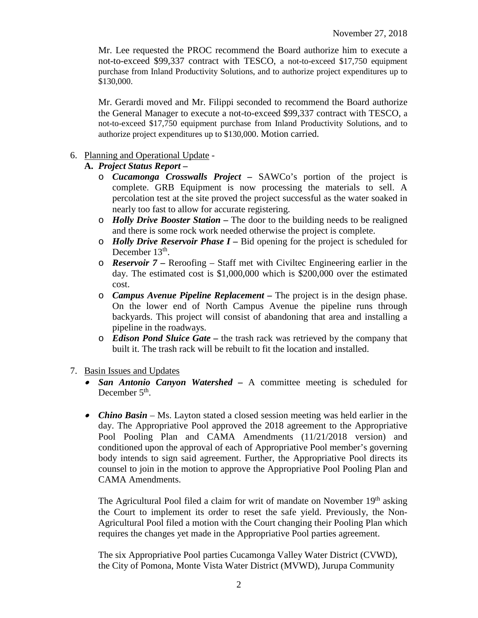Mr. Lee requested the PROC recommend the Board authorize him to execute a not-to-exceed \$99,337 contract with TESCO, a not-to-exceed \$17,750 equipment purchase from Inland Productivity Solutions, and to authorize project expenditures up to \$130,000.

Mr. Gerardi moved and Mr. Filippi seconded to recommend the Board authorize the General Manager to execute a not-to-exceed \$99,337 contract with TESCO, a not-to-exceed \$17,750 equipment purchase from Inland Productivity Solutions, and to authorize project expenditures up to \$130,000. Motion carried.

## 6. Planning and Operational Update -

## **A.** *Project Status Report* **–**

- o *Cucamonga Crosswalls Project –* SAWCo's portion of the project is complete. GRB Equipment is now processing the materials to sell. A percolation test at the site proved the project successful as the water soaked in nearly too fast to allow for accurate registering.
- o *Holly Drive Booster Station –* The door to the building needs to be realigned and there is some rock work needed otherwise the project is complete.
- o *Holly Drive Reservoir Phase I –* Bid opening for the project is scheduled for December  $13<sup>th</sup>$ .
- o *Reservoir 7 –* Reroofing Staff met with Civiltec Engineering earlier in the day. The estimated cost is \$1,000,000 which is \$200,000 over the estimated cost.
- o *Campus Avenue Pipeline Replacement –* The project is in the design phase. On the lower end of North Campus Avenue the pipeline runs through backyards. This project will consist of abandoning that area and installing a pipeline in the roadways.
- o *Edison Pond Sluice Gate –* the trash rack was retrieved by the company that built it. The trash rack will be rebuilt to fit the location and installed.
- 7. Basin Issues and Updates
	- *San Antonio Canyon Watershed –* A committee meeting is scheduled for December  $5<sup>th</sup>$ .
	- *Chino Basin* Ms. Layton stated a closed session meeting was held earlier in the day. The Appropriative Pool approved the 2018 agreement to the Appropriative Pool Pooling Plan and CAMA Amendments (11/21/2018 version) and conditioned upon the approval of each of Appropriative Pool member's governing body intends to sign said agreement. Further, the Appropriative Pool directs its counsel to join in the motion to approve the Appropriative Pool Pooling Plan and CAMA Amendments.

The Agricultural Pool filed a claim for writ of mandate on November 19<sup>th</sup> asking the Court to implement its order to reset the safe yield. Previously, the Non-Agricultural Pool filed a motion with the Court changing their Pooling Plan which requires the changes yet made in the Appropriative Pool parties agreement.

The six Appropriative Pool parties Cucamonga Valley Water District (CVWD), the City of Pomona, Monte Vista Water District (MVWD), Jurupa Community